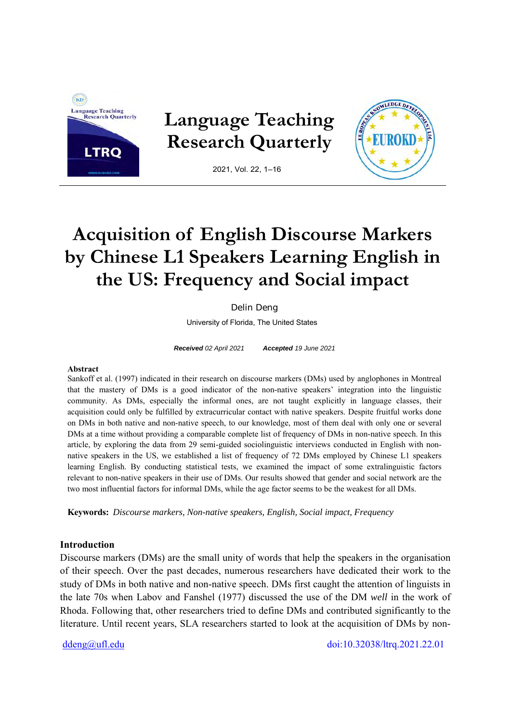

# **Acquisition of English Discourse Markers by Chinese L1 Speakers Learning English in the US: Frequency and Social impact**

Delin Deng

University of Florida, The United States

*Received 02 April 2021 Accepted 19 June 2021* 

#### **Abstract**

Sankoff et al. (1997) indicated in their research on discourse markers (DMs) used by anglophones in Montreal that the mastery of DMs is a good indicator of the non-native speakers' integration into the linguistic community. As DMs, especially the informal ones, are not taught explicitly in language classes, their acquisition could only be fulfilled by extracurricular contact with native speakers. Despite fruitful works done on DMs in both native and non-native speech, to our knowledge, most of them deal with only one or several DMs at a time without providing a comparable complete list of frequency of DMs in non-native speech. In this article, by exploring the data from 29 semi-guided sociolinguistic interviews conducted in English with nonnative speakers in the US, we established a list of frequency of 72 DMs employed by Chinese L1 speakers learning English. By conducting statistical tests, we examined the impact of some extralinguistic factors relevant to non-native speakers in their use of DMs. Our results showed that gender and social network are the two most influential factors for informal DMs, while the age factor seems to be the weakest for all DMs.

**Keywords:** *Discourse markers, Non-native speakers, English, Social impact, Frequency* 

#### **Introduction**

Discourse markers (DMs) are the small unity of words that help the speakers in the organisation of their speech. Over the past decades, numerous researchers have dedicated their work to the study of DMs in both native and non-native speech. DMs first caught the attention of linguists in the late 70s when Labov and Fanshel (1977) discussed the use of the DM *well* in the work of Rhoda. Following that, other researchers tried to define DMs and contributed significantly to the literature. Until recent years, SLA researchers started to look at the acquisition of DMs by non-

ddeng@ufl.edu doi:10.32038/ltrq.2021.22.01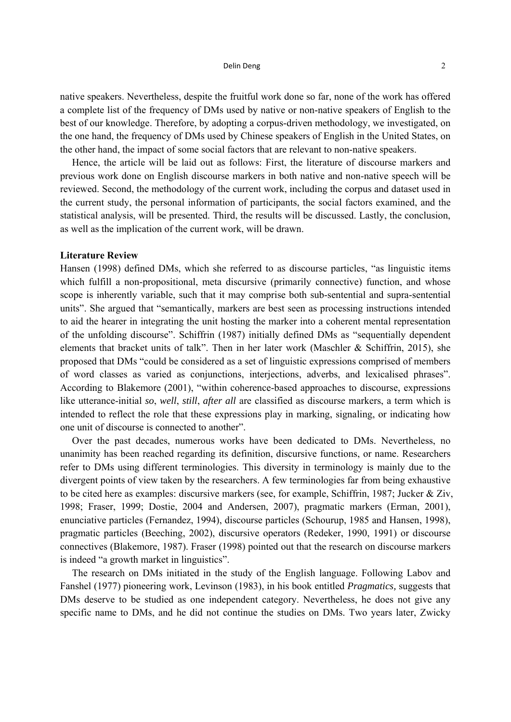#### $\blacksquare$  Delin Deng  $\blacksquare$   $\blacksquare$   $\blacksquare$   $\blacksquare$   $\blacksquare$   $\blacksquare$   $\blacksquare$   $\blacksquare$   $\blacksquare$   $\blacksquare$   $\blacksquare$   $\blacksquare$   $\blacksquare$   $\blacksquare$   $\blacksquare$   $\blacksquare$   $\blacksquare$   $\blacksquare$   $\blacksquare$   $\blacksquare$   $\blacksquare$   $\blacksquare$   $\blacksquare$   $\blacksquare$   $\blacksquare$   $\blacksquare$   $\blacksquare$   $\blacksquare$   $\blacksquare$

native speakers. Nevertheless, despite the fruitful work done so far, none of the work has offered a complete list of the frequency of DMs used by native or non-native speakers of English to the best of our knowledge. Therefore, by adopting a corpus-driven methodology, we investigated, on the one hand, the frequency of DMs used by Chinese speakers of English in the United States, on the other hand, the impact of some social factors that are relevant to non-native speakers.

Hence, the article will be laid out as follows: First, the literature of discourse markers and previous work done on English discourse markers in both native and non-native speech will be reviewed. Second, the methodology of the current work, including the corpus and dataset used in the current study, the personal information of participants, the social factors examined, and the statistical analysis, will be presented. Third, the results will be discussed. Lastly, the conclusion, as well as the implication of the current work, will be drawn.

### **Literature Review**

Hansen (1998) defined DMs, which she referred to as discourse particles, "as linguistic items which fulfill a non-propositional, meta discursive (primarily connective) function, and whose scope is inherently variable, such that it may comprise both sub-sentential and supra-sentential units". She argued that "semantically, markers are best seen as processing instructions intended to aid the hearer in integrating the unit hosting the marker into a coherent mental representation of the unfolding discourse". Schiffrin (1987) initially defined DMs as "sequentially dependent elements that bracket units of talk". Then in her later work (Maschler & Schiffrin, 2015), she proposed that DMs "could be considered as a set of linguistic expressions comprised of members of word classes as varied as conjunctions, interjections, adverbs, and lexicalised phrases". According to Blakemore (2001), "within coherence-based approaches to discourse, expressions like utterance-initial *so*, *well*, *still*, *after all* are classified as discourse markers, a term which is intended to reflect the role that these expressions play in marking, signaling, or indicating how one unit of discourse is connected to another".

Over the past decades, numerous works have been dedicated to DMs. Nevertheless, no unanimity has been reached regarding its definition, discursive functions, or name. Researchers refer to DMs using different terminologies. This diversity in terminology is mainly due to the divergent points of view taken by the researchers. A few terminologies far from being exhaustive to be cited here as examples: discursive markers (see, for example, Schiffrin, 1987; Jucker & Ziv, 1998; Fraser, 1999; Dostie, 2004 and Andersen, 2007), pragmatic markers (Erman, 2001), enunciative particles (Fernandez, 1994), discourse particles (Schourup, 1985 and Hansen, 1998), pragmatic particles (Beeching, 2002), discursive operators (Redeker, 1990, 1991) or discourse connectives (Blakemore, 1987). Fraser (1998) pointed out that the research on discourse markers is indeed "a growth market in linguistics".

The research on DMs initiated in the study of the English language. Following Labov and Fanshel (1977) pioneering work, Levinson (1983), in his book entitled *Pragmatics,* suggests that DMs deserve to be studied as one independent category. Nevertheless, he does not give any specific name to DMs, and he did not continue the studies on DMs. Two years later, Zwicky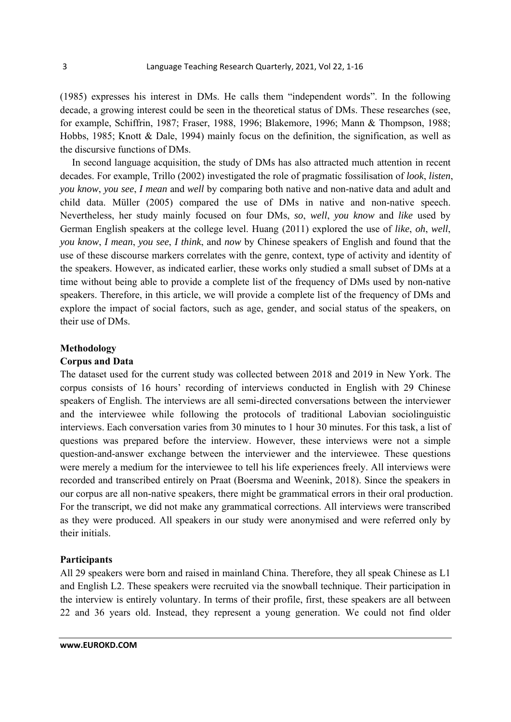(1985) expresses his interest in DMs. He calls them "independent words". In the following decade, a growing interest could be seen in the theoretical status of DMs. These researches (see, for example, Schiffrin, 1987; Fraser, 1988, 1996; Blakemore, 1996; Mann & Thompson, 1988; Hobbs, 1985; Knott & Dale, 1994) mainly focus on the definition, the signification, as well as the discursive functions of DMs.

In second language acquisition, the study of DMs has also attracted much attention in recent decades. For example, Trillo (2002) investigated the role of pragmatic fossilisation of *look*, *listen*, *you know*, *you see*, *I mean* and *well* by comparing both native and non-native data and adult and child data. Müller (2005) compared the use of DMs in native and non-native speech. Nevertheless, her study mainly focused on four DMs, *so*, *well*, *you know* and *like* used by German English speakers at the college level. Huang (2011) explored the use of *like*, *oh*, *well*, *you know*, *I mean*, *you see*, *I think*, and *now* by Chinese speakers of English and found that the use of these discourse markers correlates with the genre, context, type of activity and identity of the speakers. However, as indicated earlier, these works only studied a small subset of DMs at a time without being able to provide a complete list of the frequency of DMs used by non-native speakers. Therefore, in this article, we will provide a complete list of the frequency of DMs and explore the impact of social factors, such as age, gender, and social status of the speakers, on their use of DMs.

#### **Methodology**

## **Corpus and Data**

The dataset used for the current study was collected between 2018 and 2019 in New York. The corpus consists of 16 hours' recording of interviews conducted in English with 29 Chinese speakers of English. The interviews are all semi-directed conversations between the interviewer and the interviewee while following the protocols of traditional Labovian sociolinguistic interviews. Each conversation varies from 30 minutes to 1 hour 30 minutes. For this task, a list of questions was prepared before the interview. However, these interviews were not a simple question-and-answer exchange between the interviewer and the interviewee. These questions were merely a medium for the interviewee to tell his life experiences freely. All interviews were recorded and transcribed entirely on Praat (Boersma and Weenink, 2018). Since the speakers in our corpus are all non-native speakers, there might be grammatical errors in their oral production. For the transcript, we did not make any grammatical corrections. All interviews were transcribed as they were produced. All speakers in our study were anonymised and were referred only by their initials.

### **Participants**

All 29 speakers were born and raised in mainland China. Therefore, they all speak Chinese as L1 and English L2. These speakers were recruited via the snowball technique. Their participation in the interview is entirely voluntary. In terms of their profile, first, these speakers are all between 22 and 36 years old. Instead, they represent a young generation. We could not find older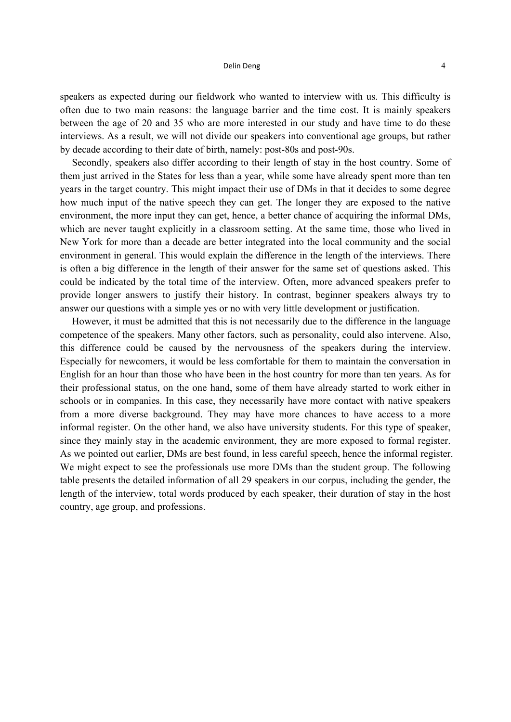#### $\blacksquare$  Delin Deng  $\blacksquare$   $\blacksquare$   $\blacksquare$   $\blacksquare$   $\blacksquare$   $\blacksquare$   $\blacksquare$   $\blacksquare$   $\blacksquare$   $\blacksquare$   $\blacksquare$   $\blacksquare$   $\blacksquare$   $\blacksquare$   $\blacksquare$   $\blacksquare$   $\blacksquare$   $\blacksquare$   $\blacksquare$   $\blacksquare$   $\blacksquare$   $\blacksquare$   $\blacksquare$   $\blacksquare$   $\blacksquare$   $\blacksquare$   $\blacksquare$   $\blacksquare$   $\blacksquare$

speakers as expected during our fieldwork who wanted to interview with us. This difficulty is often due to two main reasons: the language barrier and the time cost. It is mainly speakers between the age of 20 and 35 who are more interested in our study and have time to do these interviews. As a result, we will not divide our speakers into conventional age groups, but rather by decade according to their date of birth, namely: post-80s and post-90s.

Secondly, speakers also differ according to their length of stay in the host country. Some of them just arrived in the States for less than a year, while some have already spent more than ten years in the target country. This might impact their use of DMs in that it decides to some degree how much input of the native speech they can get. The longer they are exposed to the native environment, the more input they can get, hence, a better chance of acquiring the informal DMs, which are never taught explicitly in a classroom setting. At the same time, those who lived in New York for more than a decade are better integrated into the local community and the social environment in general. This would explain the difference in the length of the interviews. There is often a big difference in the length of their answer for the same set of questions asked. This could be indicated by the total time of the interview. Often, more advanced speakers prefer to provide longer answers to justify their history. In contrast, beginner speakers always try to answer our questions with a simple yes or no with very little development or justification.

However, it must be admitted that this is not necessarily due to the difference in the language competence of the speakers. Many other factors, such as personality, could also intervene. Also, this difference could be caused by the nervousness of the speakers during the interview. Especially for newcomers, it would be less comfortable for them to maintain the conversation in English for an hour than those who have been in the host country for more than ten years. As for their professional status, on the one hand, some of them have already started to work either in schools or in companies. In this case, they necessarily have more contact with native speakers from a more diverse background. They may have more chances to have access to a more informal register. On the other hand, we also have university students. For this type of speaker, since they mainly stay in the academic environment, they are more exposed to formal register. As we pointed out earlier, DMs are best found, in less careful speech, hence the informal register. We might expect to see the professionals use more DMs than the student group. The following table presents the detailed information of all 29 speakers in our corpus, including the gender, the length of the interview, total words produced by each speaker, their duration of stay in the host country, age group, and professions.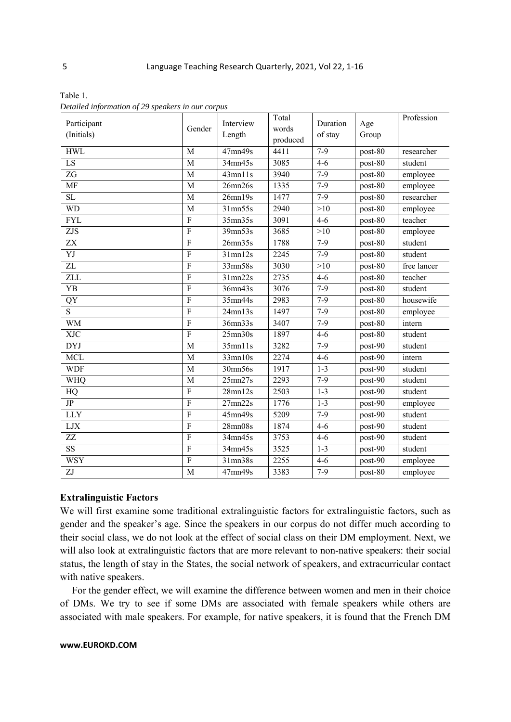| Participant<br>(Initials) | Gender         | Interview<br>Length  | Total<br>words<br>produced | Duration<br>of stay | Age<br>Group | Profession  |
|---------------------------|----------------|----------------------|----------------------------|---------------------|--------------|-------------|
| <b>HWL</b>                | M              | 47 <sub>mn49s</sub>  | 4411                       | $7-9$               | post-80      | researcher  |
| LS                        | M              | 34mn45s              | 3085                       | $4 - 6$             | post-80      | student     |
| $\overline{ZG}$           | $\overline{M}$ | $43$ mn $11s$        | 3940                       | $7 - 9$             | post-80      | employee    |
| <b>MF</b>                 | M              | 26mn26s              | 1335                       | $7 - 9$             | post-80      | employee    |
| $\overline{SL}$           | M              | 26mn19s              | 1477                       | $7 - 9$             | post-80      | researcher  |
| <b>WD</b>                 | M              | $31$ mn $55s$        | 2940                       | >10                 | post-80      | employee    |
| <b>FYL</b>                | $\overline{F}$ | 35mm35s              | 3091                       | $4 - 6$             | post-80      | teacher     |
| $\overline{ZJS}$          | $\overline{F}$ | 39mn53s              | 3685                       | >10                 | post-80      | employee    |
| $\overline{ZX}$           | $\overline{F}$ | 26mn35s              | 1788                       | $7 - 9$             | post-80      | student     |
| YJ                        | $\overline{F}$ | $31$ mn $12s$        | 2245                       | $7 - 9$             | post-80      | student     |
| $\overline{ZL}$           | $\overline{F}$ | $\overline{33mn58s}$ | 3030                       | >10                 | post-80      | free lancer |
| $\overline{\text{ZLL}}$   | $\overline{F}$ | 31mn22s              | 2735                       | $4 - 6$             | post-80      | teacher     |
| <b>YB</b>                 | $\overline{F}$ | 36mn43s              | 3076                       | $7-9$               | post-80      | student     |
| QY                        | $\rm F$        | 35mn44s              | 2983                       | $7-9$               | post-80      | housewife   |
| $\overline{S}$            | $\overline{F}$ | 24mn13s              | 1497                       | $7-9$               | post-80      | employee    |
| <b>WM</b>                 | $\rm F$        | 36mn33s              | 3407                       | $7-9$               | post-80      | intern      |
| <b>XJC</b>                | $\overline{F}$ | 25mn30s              | 1897                       | $4-6$               | post-80      | student     |
| <b>DYJ</b>                | $\overline{M}$ | $35$ mn $11s$        | 3282                       | $7-9$               | post-90      | student     |
| <b>MCL</b>                | M              | $33$ mn $10s$        | 2274                       | $4 - 6$             | post-90      | intern      |
| <b>WDF</b>                | M              | 30mn56s              | 1917                       | $1 - 3$             | post-90      | student     |
| <b>WHQ</b>                | M              | 25mn27s              | 2293                       | $7 - 9$             | post-90      | student     |
| <b>HQ</b>                 | $\overline{F}$ | $28$ mn $12s$        | 2503                       | $1 - 3$             | post-90      | student     |
| JP                        | $\overline{F}$ | 27mn22s              | 1776                       | $1-3$               | post-90      | employee    |
| <b>LLY</b>                | $\overline{F}$ | 45mn49s              | 5209                       | $7-9$               | post-90      | student     |
| <b>LJX</b>                | $\overline{F}$ | 28mn08s              | 1874                       | $4 - 6$             | post-90      | student     |
| $\overline{ZZ}$           | $\overline{F}$ | 34mn45s              | 3753                       | $4-6$               | post-90      | student     |
| $\overline{\text{SS}}$    | $\overline{F}$ | 34mn45s              | 3525                       | $1 - 3$             | post-90      | student     |
| <b>WSY</b>                | $\overline{F}$ | 31mn38s              | 2255                       | $4 - 6$             | post-90      | employee    |
| $\overline{ZJ}$           | M              | 47mn49s              | 3383                       | $7-9$               | post-80      | employee    |

Table 1. *Detailed information of 29 speakers in our corpus* 

# **Extralinguistic Factors**

We will first examine some traditional extralinguistic factors for extralinguistic factors, such as gender and the speaker's age. Since the speakers in our corpus do not differ much according to their social class, we do not look at the effect of social class on their DM employment. Next, we will also look at extralinguistic factors that are more relevant to non-native speakers: their social status, the length of stay in the States, the social network of speakers, and extracurricular contact with native speakers.

For the gender effect, we will examine the difference between women and men in their choice of DMs. We try to see if some DMs are associated with female speakers while others are associated with male speakers. For example, for native speakers, it is found that the French DM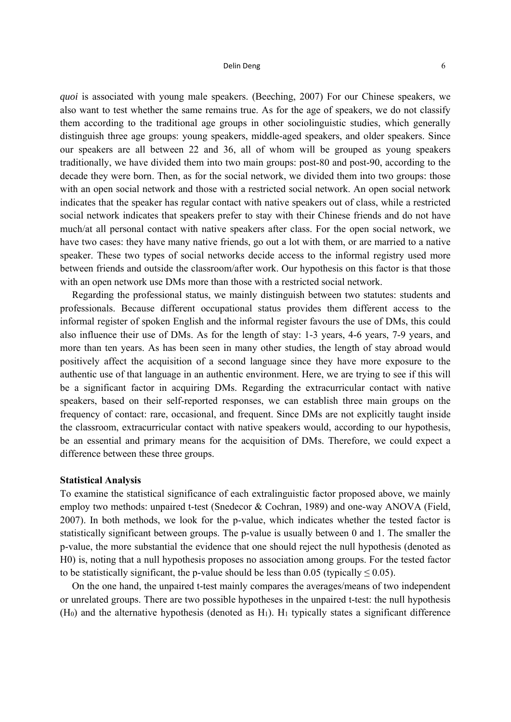#### $\blacksquare$  Delin Deng  $\blacksquare$   $\blacksquare$   $\blacksquare$   $\blacksquare$   $\blacksquare$   $\blacksquare$   $\blacksquare$   $\blacksquare$   $\blacksquare$   $\blacksquare$   $\blacksquare$   $\blacksquare$   $\blacksquare$   $\blacksquare$   $\blacksquare$   $\blacksquare$   $\blacksquare$   $\blacksquare$   $\blacksquare$   $\blacksquare$   $\blacksquare$   $\blacksquare$   $\blacksquare$   $\blacksquare$   $\blacksquare$   $\blacksquare$   $\blacksquare$   $\blacksquare$   $\blacksquare$

*quoi* is associated with young male speakers. (Beeching, 2007) For our Chinese speakers, we also want to test whether the same remains true. As for the age of speakers, we do not classify them according to the traditional age groups in other sociolinguistic studies, which generally distinguish three age groups: young speakers, middle-aged speakers, and older speakers. Since our speakers are all between 22 and 36, all of whom will be grouped as young speakers traditionally, we have divided them into two main groups: post-80 and post-90, according to the decade they were born. Then, as for the social network, we divided them into two groups: those with an open social network and those with a restricted social network. An open social network indicates that the speaker has regular contact with native speakers out of class, while a restricted social network indicates that speakers prefer to stay with their Chinese friends and do not have much/at all personal contact with native speakers after class. For the open social network, we have two cases: they have many native friends, go out a lot with them, or are married to a native speaker. These two types of social networks decide access to the informal registry used more between friends and outside the classroom/after work. Our hypothesis on this factor is that those with an open network use DMs more than those with a restricted social network.

Regarding the professional status, we mainly distinguish between two statutes: students and professionals. Because different occupational status provides them different access to the informal register of spoken English and the informal register favours the use of DMs, this could also influence their use of DMs. As for the length of stay: 1-3 years, 4-6 years, 7-9 years, and more than ten years. As has been seen in many other studies, the length of stay abroad would positively affect the acquisition of a second language since they have more exposure to the authentic use of that language in an authentic environment. Here, we are trying to see if this will be a significant factor in acquiring DMs. Regarding the extracurricular contact with native speakers, based on their self-reported responses, we can establish three main groups on the frequency of contact: rare, occasional, and frequent. Since DMs are not explicitly taught inside the classroom, extracurricular contact with native speakers would, according to our hypothesis, be an essential and primary means for the acquisition of DMs. Therefore, we could expect a difference between these three groups.

#### **Statistical Analysis**

To examine the statistical significance of each extralinguistic factor proposed above, we mainly employ two methods: unpaired t-test (Snedecor & Cochran, 1989) and one-way ANOVA (Field, 2007). In both methods, we look for the p-value, which indicates whether the tested factor is statistically significant between groups. The p-value is usually between 0 and 1. The smaller the p-value, the more substantial the evidence that one should reject the null hypothesis (denoted as H0) is, noting that a null hypothesis proposes no association among groups. For the tested factor to be statistically significant, the p-value should be less than 0.05 (typically  $\leq$  0.05).

On the one hand, the unpaired t-test mainly compares the averages/means of two independent or unrelated groups. There are two possible hypotheses in the unpaired t-test: the null hypothesis  $(H<sub>0</sub>)$  and the alternative hypothesis (denoted as  $H<sub>1</sub>$ ).  $H<sub>1</sub>$  typically states a significant difference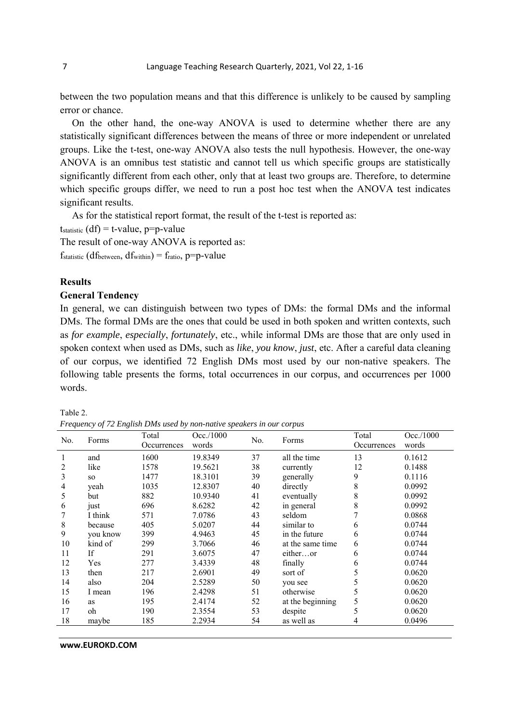between the two population means and that this difference is unlikely to be caused by sampling error or chance.

On the other hand, the one-way ANOVA is used to determine whether there are any statistically significant differences between the means of three or more independent or unrelated groups. Like the t-test, one-way ANOVA also tests the null hypothesis. However, the one-way ANOVA is an omnibus test statistic and cannot tell us which specific groups are statistically significantly different from each other, only that at least two groups are. Therefore, to determine which specific groups differ, we need to run a post hoc test when the ANOVA test indicates significant results.

As for the statistical report format, the result of the t-test is reported as:

 $t_{statistic}$  (df) = t-value, p=p-value

The result of one-way ANOVA is reported as:

 $f_{statistic}$  (dfbetween, dfwithin) =  $f_{ratio}$ , p=p-value

# **Results**

## **General Tendency**

In general, we can distinguish between two types of DMs: the formal DMs and the informal DMs. The formal DMs are the ones that could be used in both spoken and written contexts, such as *for example*, *especially*, *fortunately*, etc., while informal DMs are those that are only used in spoken context when used as DMs, such as *like*, *you know*, *just*, etc. After a careful data cleaning of our corpus, we identified 72 English DMs most used by our non-native speakers. The following table presents the forms, total occurrences in our corpus, and occurrences per 1000 words.

Table 2.

*Frequency of 72 English DMs used by non-native speakers in our corpus* 

| No. | Forms     | Total<br>Occurrences | Occ./1000<br>words | No. | Forms            | Total<br>Occurrences | Occ/1000<br>words |
|-----|-----------|----------------------|--------------------|-----|------------------|----------------------|-------------------|
|     | and       | 1600                 | 19.8349            | 37  | all the time     | 13                   | 0.1612            |
| 2   | like      | 1578                 | 19.5621            | 38  | currently        | 12                   | 0.1488            |
| 3   | SO.       | 1477                 | 18.3101            | 39  | generally        | 9                    | 0.1116            |
| 4   | yeah      | 1035                 | 12.8307            | 40  | directly         | 8                    | 0.0992            |
| 5   | but       | 882                  | 10.9340            | 41  | eventually       | 8                    | 0.0992            |
| 6   | just      | 696                  | 8.6282             | 42  | in general       | 8                    | 0.0992            |
|     | I think   | 571                  | 7.0786             | 43  | seldom           | 7                    | 0.0868            |
| 8   | because   | 405                  | 5.0207             | 44  | similar to       | 6                    | 0.0744            |
| 9   | you know  | 399                  | 4.9463             | 45  | in the future    | 6                    | 0.0744            |
| 10  | kind of   | 299                  | 3.7066             | 46  | at the same time | 6                    | 0.0744            |
| 11  | <b>If</b> | 291                  | 3.6075             | 47  | eitheror         | 6                    | 0.0744            |
| 12  | Yes       | 277                  | 3.4339             | 48  | finally          | 6                    | 0.0744            |
| 13  | then      | 217                  | 2.6901             | 49  | sort of          | 5                    | 0.0620            |
| 14  | also      | 204                  | 2.5289             | 50  | you see          | 5                    | 0.0620            |
| 15  | I mean    | 196                  | 2.4298             | 51  | otherwise        |                      | 0.0620            |
| 16  | as        | 195                  | 2.4174             | 52  | at the beginning | 5                    | 0.0620            |
| 17  | oh        | 190                  | 2.3554             | 53  | despite          | 5                    | 0.0620            |
| 18  | maybe     | 185                  | 2.2934             | 54  | as well as       | 4                    | 0.0496            |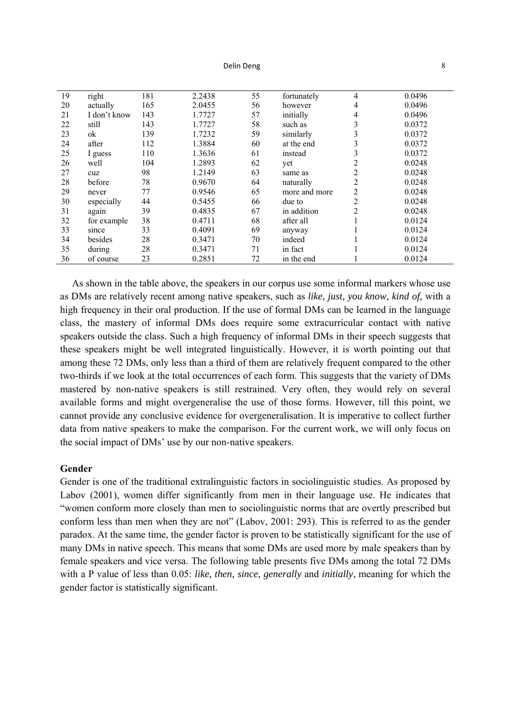| 19 | right        | 181 | 2.2438 | 55 | fortunately   | $\overline{4}$ | 0.0496 |
|----|--------------|-----|--------|----|---------------|----------------|--------|
| 20 | actually     | 165 | 2.0455 | 56 | however       | 4              | 0.0496 |
| 21 | I don't know | 143 | 1.7727 | 57 | initially     | 4              | 0.0496 |
| 22 | still        | 143 | 1.7727 | 58 | such as       | 3              | 0.0372 |
| 23 | ok           | 139 | 1.7232 | 59 | similarly     | 3              | 0.0372 |
| 24 | after        | 112 | 1.3884 | 60 | at the end    | 3              | 0.0372 |
| 25 | I guess      | 110 | 1.3636 | 61 | instead       | 3              | 0.0372 |
| 26 | well         | 104 | 1.2893 | 62 | yet           | $\overline{c}$ | 0.0248 |
| 27 | cuz          | 98  | 1.2149 | 63 | same as       | 2              | 0.0248 |
| 28 | before       | 78  | 0.9670 | 64 | naturally     | 2              | 0.0248 |
| 29 | never        | 77  | 0.9546 | 65 | more and more | 2              | 0.0248 |
| 30 | especially   | 44  | 0.5455 | 66 | due to        | 2              | 0.0248 |
| 31 | again        | 39  | 0.4835 | 67 | in addition   | 2              | 0.0248 |
| 32 | for example  | 38  | 0.4711 | 68 | after all     |                | 0.0124 |
| 33 | since        | 33  | 0.4091 | 69 | anyway        |                | 0.0124 |
| 34 | besides      | 28  | 0.3471 | 70 | indeed        |                | 0.0124 |
| 35 | during       | 28  | 0.3471 | 71 | in fact       |                | 0.0124 |
| 36 | of course    | 23  | 0.2851 | 72 | in the end    |                | 0.0124 |

As shown in the table above, the speakers in our corpus use some informal markers whose use as DMs are relatively recent among native speakers, such as *like, just, you know, kind of,* with a high frequency in their oral production. If the use of formal DMs can be learned in the language class, the mastery of informal DMs does require some extracurricular contact with native speakers outside the class. Such a high frequency of informal DMs in their speech suggests that these speakers might be well integrated linguistically. However, it is worth pointing out that among these 72 DMs, only less than a third of them are relatively frequent compared to the other two-thirds if we look at the total occurrences of each form. This suggests that the variety of DMs mastered by non-native speakers is still restrained. Very often, they would rely on several available forms and might overgeneralise the use of those forms. However, till this point, we cannot provide any conclusive evidence for overgeneralisation. It is imperative to collect further data from native speakers to make the comparison. For the current work, we will only focus on the social impact of DMs' use by our non-native speakers.

# **Gender**

Gender is one of the traditional extralinguistic factors in sociolinguistic studies. As proposed by Labov (2001), women differ significantly from men in their language use. He indicates that "women conform more closely than men to sociolinguistic norms that are overtly prescribed but conform less than men when they are not" (Labov, 2001: 293). This is referred to as the gender paradox. At the same time, the gender factor is proven to be statistically significant for the use of many DMs in native speech. This means that some DMs are used more by male speakers than by female speakers and vice versa. The following table presents five DMs among the total 72 DMs with a P value of less than 0.05: *like, then, since, generally* and *initially*, meaning for which the gender factor is statistically significant.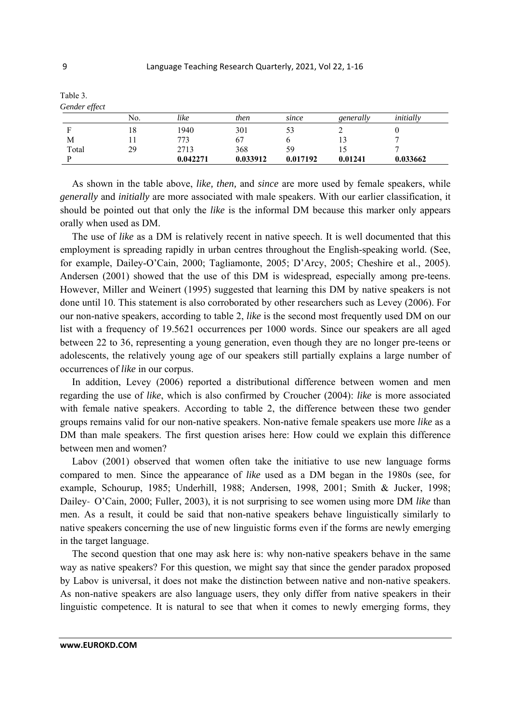| Table 3.      |     |          |          |          |           |           |
|---------------|-----|----------|----------|----------|-----------|-----------|
| Gender effect |     |          |          |          |           |           |
|               | No. | like     | then     | since    | generally | initially |
| F             | 18  | 1940     | 301      | 53       |           |           |
| М             |     | 773      | 67       |          | 13        |           |
| Total         | 29  | 2713     | 368      | 59       | 15        |           |
|               |     | 0.042271 | 0.033912 | 0.017192 | 0.01241   | 0.033662  |

As shown in the table above, *like, then,* and *since* are more used by female speakers, while *generally* and *initially* are more associated with male speakers. With our earlier classification, it should be pointed out that only the *like* is the informal DM because this marker only appears orally when used as DM.

The use of *like* as a DM is relatively recent in native speech. It is well documented that this employment is spreading rapidly in urban centres throughout the English-speaking world. (See, for example, Dailey-O'Cain, 2000; Tagliamonte, 2005; D'Arcy, 2005; Cheshire et al., 2005). Andersen (2001) showed that the use of this DM is widespread, especially among pre-teens. However, Miller and Weinert (1995) suggested that learning this DM by native speakers is not done until 10. This statement is also corroborated by other researchers such as Levey (2006). For our non-native speakers, according to table 2, *like* is the second most frequently used DM on our list with a frequency of 19.5621 occurrences per 1000 words. Since our speakers are all aged between 22 to 36, representing a young generation, even though they are no longer pre-teens or adolescents, the relatively young age of our speakers still partially explains a large number of occurrences of *like* in our corpus.

In addition, Levey (2006) reported a distributional difference between women and men regarding the use of *like*, which is also confirmed by Croucher (2004): *like* is more associated with female native speakers. According to table 2, the difference between these two gender groups remains valid for our non-native speakers. Non-native female speakers use more *like* as a DM than male speakers. The first question arises here: How could we explain this difference between men and women?

Labov (2001) observed that women often take the initiative to use new language forms compared to men. Since the appearance of *like* used as a DM began in the 1980s (see, for example, Schourup, 1985; Underhill, 1988; Andersen, 1998, 2001; Smith & Jucker, 1998; Dailey‐ O'Cain, 2000; Fuller, 2003), it is not surprising to see women using more DM *like* than men. As a result, it could be said that non-native speakers behave linguistically similarly to native speakers concerning the use of new linguistic forms even if the forms are newly emerging in the target language.

The second question that one may ask here is: why non-native speakers behave in the same way as native speakers? For this question, we might say that since the gender paradox proposed by Labov is universal, it does not make the distinction between native and non-native speakers. As non-native speakers are also language users, they only differ from native speakers in their linguistic competence. It is natural to see that when it comes to newly emerging forms, they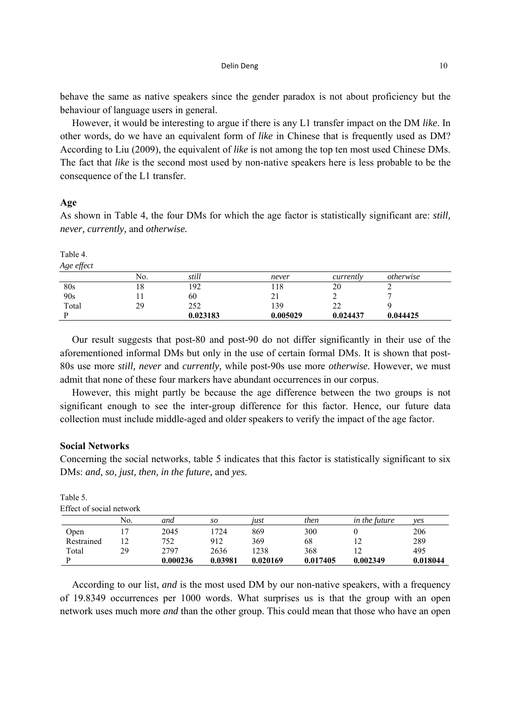#### $\Delta$  Delin Deng  $\Delta$  10

behave the same as native speakers since the gender paradox is not about proficiency but the behaviour of language users in general.

However, it would be interesting to argue if there is any L1 transfer impact on the DM *like*. In other words, do we have an equivalent form of *like* in Chinese that is frequently used as DM? According to Liu (2009), the equivalent of *like* is not among the top ten most used Chinese DMs. The fact that *like* is the second most used by non-native speakers here is less probable to be the consequence of the L1 transfer.

## **Age**

As shown in Table 4, the four DMs for which the age factor is statistically significant are: *still, never, currently,* and *otherwise.*

Table 4.

*Age effect* 

|       | No. | still    | never    | currently    | <i>otherwise</i> |  |
|-------|-----|----------|----------|--------------|------------------|--|
| 80s   | 10  | 192      | 118      | 20           |                  |  |
| 90s   |     | 60       | "        |              |                  |  |
| Total | 29  | 252      | 139      | $\sim$<br>∠∠ |                  |  |
|       |     | 0.023183 | 0.005029 | 0.024437     | 0.044425         |  |

Our result suggests that post-80 and post-90 do not differ significantly in their use of the aforementioned informal DMs but only in the use of certain formal DMs. It is shown that post-80s use more *still, never* and *currently,* while post-90s use more *otherwise.* However, we must admit that none of these four markers have abundant occurrences in our corpus.

However, this might partly be because the age difference between the two groups is not significant enough to see the inter-group difference for this factor. Hence, our future data collection must include middle-aged and older speakers to verify the impact of the age factor.

#### **Social Networks**

Concerning the social networks, table 5 indicates that this factor is statistically significant to six DMs: *and, so, just, then, in the future,* and *yes.*

| Effect of social network |     |          |         |          |          |                      |          |
|--------------------------|-----|----------|---------|----------|----------|----------------------|----------|
|                          | No. | and      | so      | 1ust     | then     | <i>in the future</i> | ves      |
| Open                     |     | 2045     | 1724    | 869      | 300      |                      | 206      |
| Restrained               |     | 752      | 912     | 369      | 68       | 12                   | 289      |
| Total                    | 29  | 2797     | 2636    | 1238     | 368      |                      | 495      |
|                          |     | 0.000236 | 0.03981 | 0.020169 | 0.017405 | 0.002349             | 0.018044 |

| Table 5.                 |
|--------------------------|
| Effect of social network |

According to our list, *and* is the most used DM by our non-native speakers, with a frequency of 19.8349 occurrences per 1000 words. What surprises us is that the group with an open network uses much more *and* than the other group. This could mean that those who have an open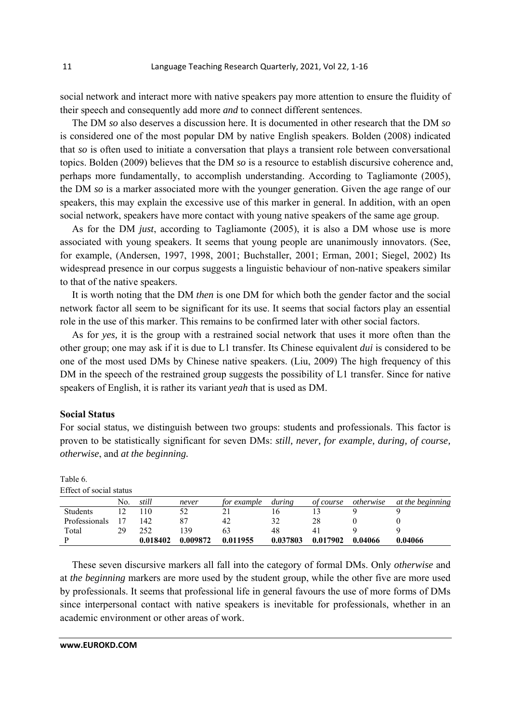social network and interact more with native speakers pay more attention to ensure the fluidity of their speech and consequently add more *and* to connect different sentences.

The DM *so* also deserves a discussion here. It is documented in other research that the DM *so* is considered one of the most popular DM by native English speakers. Bolden (2008) indicated that *so* is often used to initiate a conversation that plays a transient role between conversational topics. Bolden (2009) believes that the DM *so* is a resource to establish discursive coherence and, perhaps more fundamentally, to accomplish understanding. According to Tagliamonte (2005), the DM *so* is a marker associated more with the younger generation. Given the age range of our speakers, this may explain the excessive use of this marker in general. In addition, with an open social network, speakers have more contact with young native speakers of the same age group.

As for the DM *just*, according to Tagliamonte (2005), it is also a DM whose use is more associated with young speakers. It seems that young people are unanimously innovators. (See, for example, (Andersen, 1997, 1998, 2001; Buchstaller, 2001; Erman, 2001; Siegel, 2002) Its widespread presence in our corpus suggests a linguistic behaviour of non-native speakers similar to that of the native speakers.

It is worth noting that the DM *then* is one DM for which both the gender factor and the social network factor all seem to be significant for its use. It seems that social factors play an essential role in the use of this marker. This remains to be confirmed later with other social factors.

As for *yes,* it is the group with a restrained social network that uses it more often than the other group; one may ask if it is due to L1 transfer. Its Chinese equivalent *dui* is considered to be one of the most used DMs by Chinese native speakers. (Liu, 2009) The high frequency of this DM in the speech of the restrained group suggests the possibility of L1 transfer. Since for native speakers of English, it is rather its variant *yeah* that is used as DM.

## **Social Status**

For social status, we distinguish between two groups: students and professionals. This factor is proven to be statistically significant for seven DMs: *still, never, for example, during, of course, otherwise*, and *at the beginning.*

Table 6. Effect of social status

| No. | still    | never    | for example | during   | of course | <i>otherwise</i> | at the beginning |
|-----|----------|----------|-------------|----------|-----------|------------------|------------------|
|     | 10       |          |             | I b      |           |                  |                  |
|     | 142      |          | 42          | 32       | 28        |                  |                  |
| 29  | 252      | 39       |             | 48       |           |                  |                  |
|     | 0.018402 | 0.009872 | 0.011955    | 0.037803 | 0.017902  | 0.04066          | 0.04066          |
|     |          |          |             |          |           |                  |                  |

These seven discursive markers all fall into the category of formal DMs. Only *otherwise* and at *the beginning* markers are more used by the student group, while the other five are more used by professionals. It seems that professional life in general favours the use of more forms of DMs since interpersonal contact with native speakers is inevitable for professionals, whether in an academic environment or other areas of work.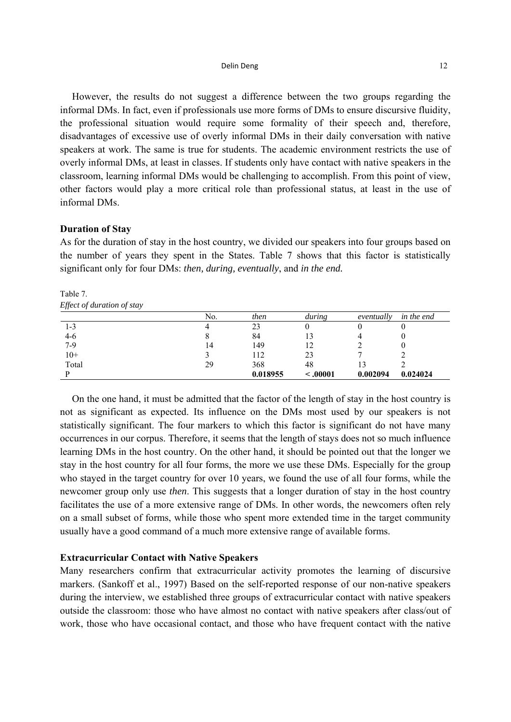#### **Delin Deng 12**

However, the results do not suggest a difference between the two groups regarding the informal DMs. In fact, even if professionals use more forms of DMs to ensure discursive fluidity, the professional situation would require some formality of their speech and, therefore, disadvantages of excessive use of overly informal DMs in their daily conversation with native speakers at work. The same is true for students. The academic environment restricts the use of overly informal DMs, at least in classes. If students only have contact with native speakers in the classroom, learning informal DMs would be challenging to accomplish. From this point of view, other factors would play a more critical role than professional status, at least in the use of informal DMs.

#### **Duration of Stay**

As for the duration of stay in the host country, we divided our speakers into four groups based on the number of years they spent in the States. Table 7 shows that this factor is statistically significant only for four DMs: *then, during, eventually*, and *in the end.* 

|       | No. | then     | during    | eventually | in the end |
|-------|-----|----------|-----------|------------|------------|
| 1-3   |     | 23       |           |            |            |
| 4-6   |     | 84       | 13        |            |            |
| $7-9$ | 14  | 149      | 12        |            |            |
| $10+$ |     | 112      | 23        |            |            |
| Total | 29  | 368      | 48        |            |            |
|       |     | 0.018955 | $-.00001$ | 0.002094   | 0.024024   |

Table 7. *Effect of duration of stay* 

On the one hand, it must be admitted that the factor of the length of stay in the host country is not as significant as expected. Its influence on the DMs most used by our speakers is not statistically significant. The four markers to which this factor is significant do not have many occurrences in our corpus. Therefore, it seems that the length of stays does not so much influence learning DMs in the host country. On the other hand, it should be pointed out that the longer we stay in the host country for all four forms, the more we use these DMs. Especially for the group who stayed in the target country for over 10 years, we found the use of all four forms, while the newcomer group only use *then*. This suggests that a longer duration of stay in the host country facilitates the use of a more extensive range of DMs. In other words, the newcomers often rely on a small subset of forms, while those who spent more extended time in the target community usually have a good command of a much more extensive range of available forms.

## **Extracurricular Contact with Native Speakers**

Many researchers confirm that extracurricular activity promotes the learning of discursive markers. (Sankoff et al., 1997) Based on the self-reported response of our non-native speakers during the interview, we established three groups of extracurricular contact with native speakers outside the classroom: those who have almost no contact with native speakers after class/out of work, those who have occasional contact, and those who have frequent contact with the native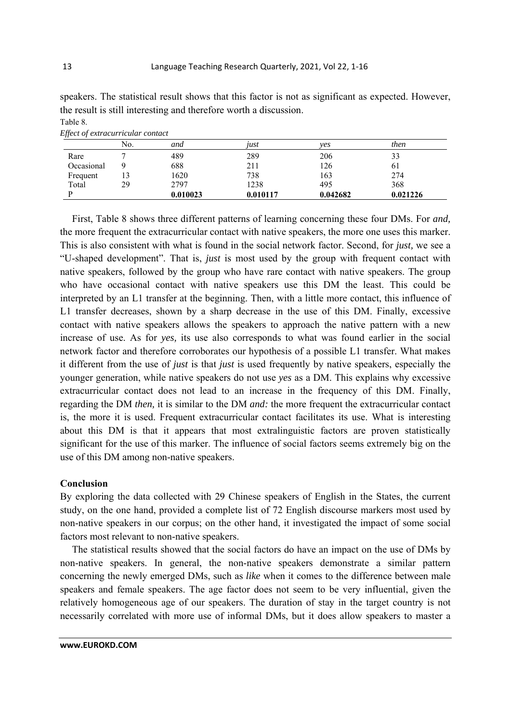|            | No. | and      | tust     | ves      | then     |
|------------|-----|----------|----------|----------|----------|
| Rare       |     | 489      | 289      | 206      | 33       |
| Occasional |     | 688      | 211      | 126      | 61       |
| Frequent   | 13  | 1620     | 738      | 163      | 274      |
| Total      | 29  | 2797     | 1238     | 495      | 368      |
|            |     | 0.010023 | 0.010117 | 0.042682 | 0.021226 |

speakers. The statistical result shows that this factor is not as significant as expected. However, the result is still interesting and therefore worth a discussion. Table 8.

| --------- |                                   |  |
|-----------|-----------------------------------|--|
|           | Effect of extracurricular contact |  |

First, Table 8 shows three different patterns of learning concerning these four DMs. For *and,* the more frequent the extracurricular contact with native speakers, the more one uses this marker. This is also consistent with what is found in the social network factor. Second, for *just,* we see a "U-shaped development". That is, *just* is most used by the group with frequent contact with native speakers, followed by the group who have rare contact with native speakers. The group who have occasional contact with native speakers use this DM the least. This could be interpreted by an L1 transfer at the beginning. Then, with a little more contact, this influence of L1 transfer decreases, shown by a sharp decrease in the use of this DM. Finally, excessive contact with native speakers allows the speakers to approach the native pattern with a new increase of use. As for *yes,* its use also corresponds to what was found earlier in the social network factor and therefore corroborates our hypothesis of a possible L1 transfer. What makes it different from the use of *just* is that *just* is used frequently by native speakers, especially the younger generation, while native speakers do not use *yes* as a DM. This explains why excessive extracurricular contact does not lead to an increase in the frequency of this DM. Finally, regarding the DM *then,* it is similar to the DM *and:* the more frequent the extracurricular contact is, the more it is used. Frequent extracurricular contact facilitates its use. What is interesting about this DM is that it appears that most extralinguistic factors are proven statistically significant for the use of this marker. The influence of social factors seems extremely big on the use of this DM among non-native speakers.

# **Conclusion**

By exploring the data collected with 29 Chinese speakers of English in the States, the current study, on the one hand, provided a complete list of 72 English discourse markers most used by non-native speakers in our corpus; on the other hand, it investigated the impact of some social factors most relevant to non-native speakers.

The statistical results showed that the social factors do have an impact on the use of DMs by non-native speakers. In general, the non-native speakers demonstrate a similar pattern concerning the newly emerged DMs, such as *like* when it comes to the difference between male speakers and female speakers. The age factor does not seem to be very influential, given the relatively homogeneous age of our speakers. The duration of stay in the target country is not necessarily correlated with more use of informal DMs, but it does allow speakers to master a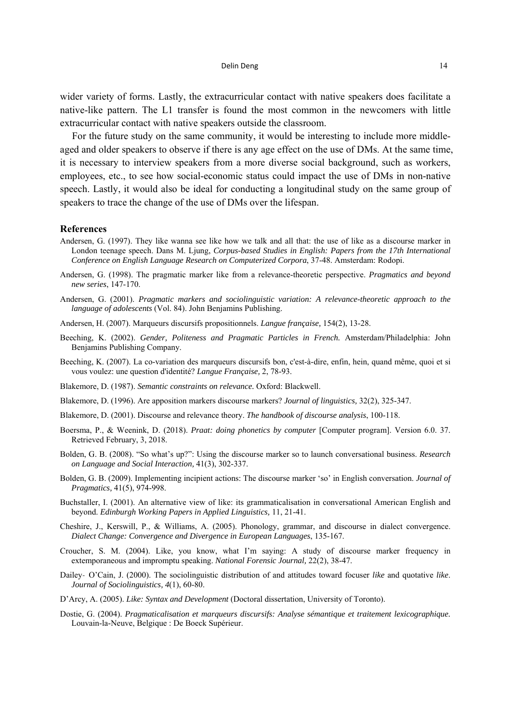wider variety of forms. Lastly, the extracurricular contact with native speakers does facilitate a native-like pattern. The L1 transfer is found the most common in the newcomers with little extracurricular contact with native speakers outside the classroom.

For the future study on the same community, it would be interesting to include more middleaged and older speakers to observe if there is any age effect on the use of DMs. At the same time, it is necessary to interview speakers from a more diverse social background, such as workers, employees, etc., to see how social-economic status could impact the use of DMs in non-native speech. Lastly, it would also be ideal for conducting a longitudinal study on the same group of speakers to trace the change of the use of DMs over the lifespan.

#### **References**

- Andersen, G. (1997). They like wanna see like how we talk and all that: the use of like as a discourse marker in London teenage speech. Dans M. Ljung, *Corpus-based Studies in English: Papers from the 17th International Conference on English Language Research on Computerized Corpora*, 37-48. Amsterdam: Rodopi.
- Andersen, G. (1998). The pragmatic marker like from a relevance-theoretic perspective. *Pragmatics and beyond new series*, 147-170.
- Andersen, G. (2001). *Pragmatic markers and sociolinguistic variation: A relevance-theoretic approach to the language of adolescents* (Vol. 84). John Benjamins Publishing.
- Andersen, H. (2007). Marqueurs discursifs propositionnels. *Langue française,* 154(2), 13-28.
- Beeching, K. (2002). *Gender, Politeness and Pragmatic Particles in French.* Amsterdam/Philadelphia: John Benjamins Publishing Company.
- Beeching, K. (2007). La co-variation des marqueurs discursifs bon, c'est-à-dire, enfin, hein, quand même, quoi et si vous voulez: une question d'identité? *Langue Française,* 2, 78-93.
- Blakemore, D. (1987). *Semantic constraints on relevance.* Oxford: Blackwell.
- Blakemore, D. (1996). Are apposition markers discourse markers? *Journal of linguistics,* 32(2), 325-347.
- Blakemore, D. (2001). Discourse and relevance theory. *The handbook of discourse analysis*, 100-118.
- Boersma, P., & Weenink, D. (2018). *Praat: doing phonetics by computer* [Computer program]. Version 6.0. 37. Retrieved February, 3, 2018.
- Bolden, G. B. (2008). "So what's up?": Using the discourse marker so to launch conversational business. *Research on Language and Social Interaction,* 41(3), 302-337.
- Bolden, G. B. (2009). Implementing incipient actions: The discourse marker 'so' in English conversation. *Journal of Pragmatics,* 41(5), 974-998.
- Buchstaller, I. (2001). An alternative view of like: its grammaticalisation in conversational American English and beyond. *Edinburgh Working Papers in Applied Linguistics,* 11, 21-41.
- Cheshire, J., Kerswill, P., & Williams, A. (2005). Phonology, grammar, and discourse in dialect convergence. *Dialect Change: Convergence and Divergence in European Languages*, 135-167.
- Croucher, S. M. (2004). Like, you know, what I'm saying: A study of discourse marker frequency in extemporaneous and impromptu speaking. *National Forensic Journal,* 22(2), 38-47.
- Dailey‐ O'Cain, J. (2000). The sociolinguistic distribution of and attitudes toward focuser *like* and quotative *like*. *Journal of Sociolinguistics, 4*(1), 60-80.
- D'Arcy, A. (2005). *Like: Syntax and Development* (Doctoral dissertation, University of Toronto).
- Dostie, G. (2004). *Pragmaticalisation et marqueurs discursifs: Analyse sémantique et traitement lexicographique.* Louvain-la-Neuve, Belgique : De Boeck Supérieur.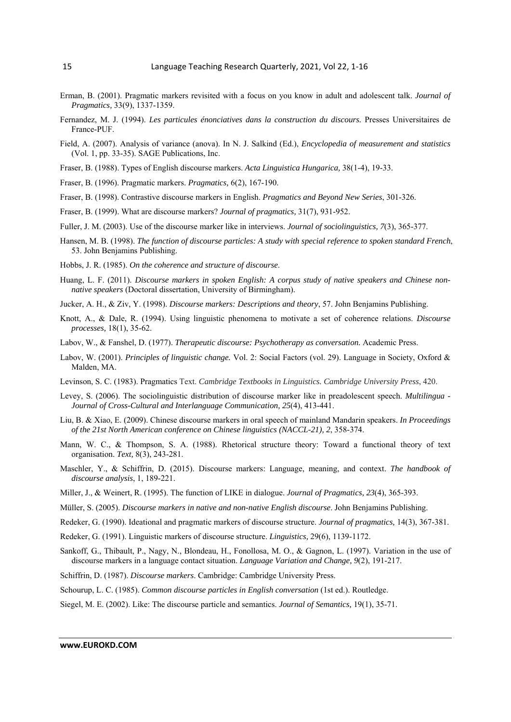- Erman, B. (2001). Pragmatic markers revisited with a focus on you know in adult and adolescent talk. *Journal of Pragmatics,* 33(9), 1337-1359.
- Fernandez, M. J. (1994). *Les particules énonciatives dans la construction du discours.* Presses Universitaires de France-PUF.
- Field, A. (2007). Analysis of variance (anova). In N. J. Salkind (Ed.), *Encyclopedia of measurement and statistics* (Vol. 1, pp. 33-35). SAGE Publications, Inc.
- Fraser, B. (1988). Types of English discourse markers. *Acta Linguistica Hungarica,* 38(1-4), 19-33.
- Fraser, B. (1996). Pragmatic markers. *Pragmatics,* 6(2), 167-190.
- Fraser, B. (1998). Contrastive discourse markers in English. *Pragmatics and Beyond New Series*, 301-326.
- Fraser, B. (1999). What are discourse markers? *Journal of pragmatics,* 31(7), 931-952.
- Fuller, J. M. (2003). Use of the discourse marker like in interviews. *Journal of sociolinguistics, 7*(3), 365-377.
- Hansen, M. B. (1998). *The function of discourse particles: A study with special reference to spoken standard French*, 53. John Benjamins Publishing.
- Hobbs, J. R. (1985). *On the coherence and structure of discourse*.
- Huang, L. F. (2011). *Discourse markers in spoken English: A corpus study of native speakers and Chinese nonnative speakers* (Doctoral dissertation, University of Birmingham).
- Jucker, A. H., & Ziv, Y. (1998). *Discourse markers: Descriptions and theory*, 57. John Benjamins Publishing.
- Knott, A., & Dale, R. (1994). Using linguistic phenomena to motivate a set of coherence relations. *Discourse processes,* 18(1), 35-62.
- Labov, W., & Fanshel, D. (1977). *Therapeutic discourse: Psychotherapy as conversation.* Academic Press.
- Labov, W. (2001). *Principles of linguistic change.* Vol. 2: Social Factors (vol. 29). Language in Society, Oxford & Malden, MA.
- Levinson, S. C. (1983). Pragmatics Text. *Cambridge Textbooks in Linguistics. Cambridge University Press*, 420.
- Levey, S. (2006). The sociolinguistic distribution of discourse marker like in preadolescent speech. *Multilingua Journal of Cross-Cultural and Interlanguage Communication, 25*(4), 413-441.
- Liu, B. & Xiao, E. (2009). Chinese discourse markers in oral speech of mainland Mandarin speakers. *In Proceedings of the 21st North American conference on Chinese linguistics (NACCL-21), 2*, 358-374.
- Mann, W. C., & Thompson, S. A. (1988). Rhetorical structure theory: Toward a functional theory of text organisation. *Text,* 8(3), 243-281.
- Maschler, Y., & Schiffrin, D. (2015). Discourse markers: Language, meaning, and context. *The handbook of discourse analysis*, 1, 189-221.
- Miller, J., & Weinert, R. (1995). The function of LIKE in dialogue. *Journal of Pragmatics, 23*(4), 365-393.
- Müller, S. (2005). *Discourse markers in native and non-native English discourse*. John Benjamins Publishing.
- Redeker, G. (1990). Ideational and pragmatic markers of discourse structure. *Journal of pragmatics,* 14(3), 367-381.
- Redeker, G. (1991). Linguistic markers of discourse structure. *Linguistics,* 29(6), 1139-1172.
- Sankoff, G., Thibault, P., Nagy, N., Blondeau, H., Fonollosa, M. O., & Gagnon, L. (1997). Variation in the use of discourse markers in a language contact situation. *Language Variation and Change, 9*(2), 191-217.
- Schiffrin, D. (1987). *Discourse markers*. Cambridge: Cambridge University Press.
- Schourup, L. C. (1985). *Common discourse particles in English conversation* (1st ed.). Routledge.
- Siegel, M. E. (2002). Like: The discourse particle and semantics. *Journal of Semantics,* 19(1), 35-71.